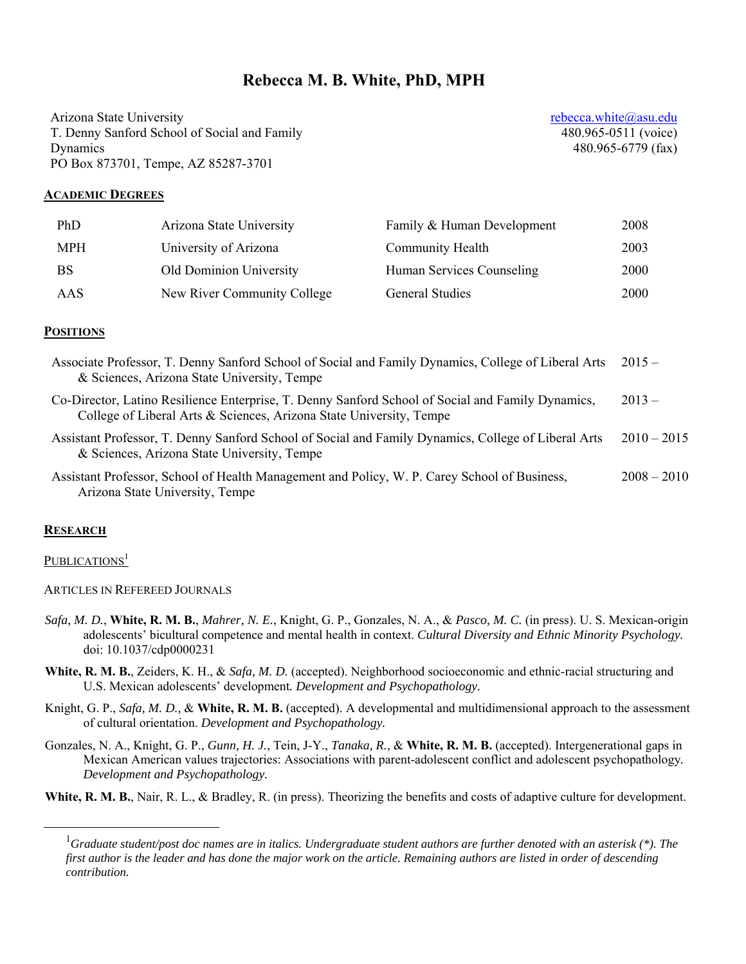# **Rebecca M. B. White, PhD, MPH**

Arizona State University T. Denny Sanford School of Social and Family Dynamics PO Box 873701, Tempe, AZ 85287-3701

rebecca.white@asu.edu 480.965-0511 (voice) 480.965-6779 (fax)

#### **ACADEMIC DEGREES**

| PhD        | Arizona State University    | Family & Human Development | 2008 |
|------------|-----------------------------|----------------------------|------|
| <b>MPH</b> | University of Arizona       | Community Health           | 2003 |
| <b>BS</b>  | Old Dominion University     | Human Services Counseling  | 2000 |
| AAS        | New River Community College | <b>General Studies</b>     | 2000 |

#### **POSITIONS**

| Associate Professor, T. Denny Sanford School of Social and Family Dynamics, College of Liberal Arts<br>& Sciences, Arizona State University, Tempe                       | $2015 -$      |
|--------------------------------------------------------------------------------------------------------------------------------------------------------------------------|---------------|
| Co-Director, Latino Resilience Enterprise, T. Denny Sanford School of Social and Family Dynamics,<br>College of Liberal Arts & Sciences, Arizona State University, Tempe | $2013 -$      |
| Assistant Professor, T. Denny Sanford School of Social and Family Dynamics, College of Liberal Arts<br>& Sciences, Arizona State University, Tempe                       | $2010 - 2015$ |
| Assistant Professor, School of Health Management and Policy, W. P. Carey School of Business,<br>Arizona State University, Tempe                                          | $2008 - 2010$ |

#### **RESEARCH**

#### PUBLICATIONS<sup>1</sup>

ARTICLES IN REFEREED JOURNALS

- *Safa, M. D.*, **White, R. M. B.**, *Mahrer, N. E.*, Knight, G. P., Gonzales, N. A., & *Pasco, M. C.* (in press). U. S. Mexican-origin adolescents' bicultural competence and mental health in context. *Cultural Diversity and Ethnic Minority Psychology.*  doi: 10.1037/cdp0000231
- White, R. M. B., Zeiders, K. H., & *Safa, M. D.* (accepted). Neighborhood socioeconomic and ethnic-racial structuring and U.S. Mexican adolescents' development*. Development and Psychopathology.*
- Knight, G. P., *Safa, M. D.,* & **White, R. M. B.** (accepted). A developmental and multidimensional approach to the assessment of cultural orientation. *Development and Psychopathology.*
- Gonzales, N. A., Knight, G. P., *Gunn, H. J.*, Tein, J-Y., *Tanaka, R.*, & **White, R. M. B.** (accepted). Intergenerational gaps in Mexican American values trajectories: Associations with parent-adolescent conflict and adolescent psychopathology*. Development and Psychopathology.*
- **White, R. M. B.**, Nair, R. L., & Bradley, R. (in press). Theorizing the benefits and costs of adaptive culture for development.

 $\overline{\phantom{0}}$ <sup>1</sup>Graduate student/post doc names are in italics. Undergraduate student authors are further denoted with an asterisk (\*). The *first author is the leader and has done the major work on the article. Remaining authors are listed in order of descending contribution.*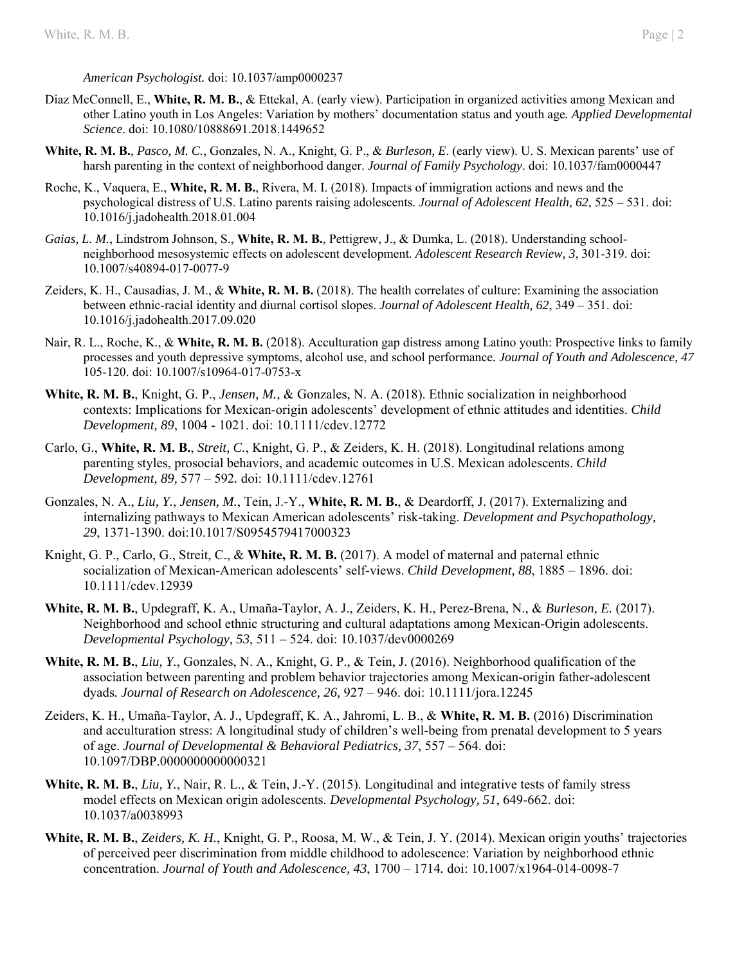*American Psychologist.* doi: 10.1037/amp0000237

- Diaz McConnell, E., **White, R. M. B.**, & Ettekal, A. (early view). Participation in organized activities among Mexican and other Latino youth in Los Angeles: Variation by mothers' documentation status and youth age*. Applied Developmental Science*. doi: 10.1080/10888691.2018.1449652
- **White, R. M. B.**, *Pasco, M. C.*, Gonzales, N. A., Knight, G. P., & *Burleson, E*. (early view). U. S. Mexican parents' use of harsh parenting in the context of neighborhood danger. *Journal of Family Psychology*. doi: 10.1037/fam0000447
- Roche, K., Vaquera, E., **White, R. M. B.**, Rivera, M. I. (2018). Impacts of immigration actions and news and the psychological distress of U.S. Latino parents raising adolescents*. Journal of Adolescent Health, 62*, 525 – 531. doi: 10.1016/j.jadohealth.2018.01.004
- *Gaias, L. M.*, Lindstrom Johnson, S., **White, R. M. B.**, Pettigrew, J., & Dumka, L. (2018). Understanding schoolneighborhood mesosystemic effects on adolescent development*. Adolescent Research Review, 3*, 301-319. doi: 10.1007/s40894-017-0077-9
- Zeiders, K. H., Causadias, J. M., & **White, R. M. B.** (2018). The health correlates of culture: Examining the association between ethnic-racial identity and diurnal cortisol slopes. *Journal of Adolescent Health, 62*, 349 – 351. doi: 10.1016/j.jadohealth.2017.09.020
- Nair, R. L., Roche, K., & **White, R. M. B.** (2018). Acculturation gap distress among Latino youth: Prospective links to family processes and youth depressive symptoms, alcohol use, and school performance*. Journal of Youth and Adolescence, 47* 105-120. doi: 10.1007/s10964-017-0753-x
- **White, R. M. B.**, Knight, G. P., *Jensen, M.*, & Gonzales, N. A. (2018). Ethnic socialization in neighborhood contexts: Implications for Mexican-origin adolescents' development of ethnic attitudes and identities. *Child Development, 89*, 1004 - 1021. doi: 10.1111/cdev.12772
- Carlo, G., **White, R. M. B.**, *Streit, C.*, Knight, G. P., & Zeiders, K. H. (2018). Longitudinal relations among parenting styles, prosocial behaviors, and academic outcomes in U.S. Mexican adolescents. *Child Development, 89,* 577 – 592*.* doi: 10.1111/cdev.12761
- Gonzales, N. A., *Liu, Y.*, *Jensen, M.*, Tein, J.-Y., **White, R. M. B.**, & Deardorff, J. (2017). Externalizing and internalizing pathways to Mexican American adolescents' risk-taking. *Development and Psychopathology, 29*, 1371-1390. doi:10.1017/S0954579417000323
- Knight, G. P., Carlo, G., Streit, C., & **White, R. M. B.** (2017). A model of maternal and paternal ethnic socialization of Mexican-American adolescents' self-views. *Child Development, 88*, 1885 – 1896. doi: 10.1111/cdev.12939
- **White, R. M. B.**, Updegraff, K. A., Umaña-Taylor, A. J., Zeiders, K. H., Perez-Brena, N., & *Burleson, E.* (2017). Neighborhood and school ethnic structuring and cultural adaptations among Mexican-Origin adolescents. *Developmental Psychology, 53*, 511 – 524. doi: 10.1037/dev0000269
- **White, R. M. B.**, *Liu, Y.*, Gonzales, N. A., Knight, G. P., & Tein, J. (2016). Neighborhood qualification of the association between parenting and problem behavior trajectories among Mexican-origin father-adolescent dyads*. Journal of Research on Adolescence, 26,* 927 – 946. doi: 10.1111/jora.12245
- Zeiders, K. H., Umaña-Taylor, A. J., Updegraff, K. A., Jahromi, L. B., & **White, R. M. B.** (2016) Discrimination and acculturation stress: A longitudinal study of children's well-being from prenatal development to 5 years of age. *Journal of Developmental & Behavioral Pediatrics, 37*, 557 – 564. doi: 10.1097/DBP.0000000000000321
- **White, R. M. B.**, *Liu, Y.*, Nair, R. L., & Tein, J.-Y. (2015). Longitudinal and integrative tests of family stress model effects on Mexican origin adolescents. *Developmental Psychology, 51*, 649-662. doi: 10.1037/a0038993
- **White, R. M. B.**, *Zeiders, K. H.*, Knight, G. P., Roosa, M. W., & Tein, J. Y. (2014). Mexican origin youths' trajectories of perceived peer discrimination from middle childhood to adolescence: Variation by neighborhood ethnic concentration. *Journal of Youth and Adolescence, 43*, 1700 – 1714*.* doi: 10.1007/x1964-014-0098-7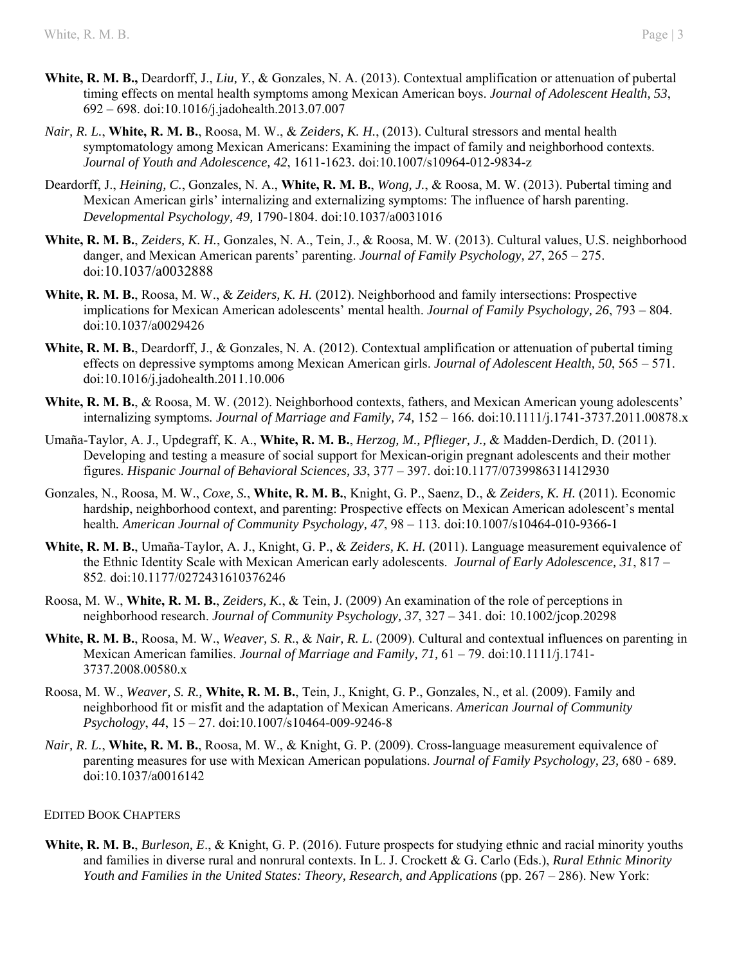- **White, R. M. B.,** Deardorff, J., *Liu, Y.*, & Gonzales, N. A. (2013). Contextual amplification or attenuation of pubertal timing effects on mental health symptoms among Mexican American boys. *Journal of Adolescent Health, 53*, 692 – 698. doi:10.1016/j.jadohealth.2013.07.007
- *Nair, R. L.*, **White, R. M. B.**, Roosa, M. W., & *Zeiders, K. H.*, (2013). Cultural stressors and mental health symptomatology among Mexican Americans: Examining the impact of family and neighborhood contexts. *Journal of Youth and Adolescence, 42*, 1611-1623*.* doi:10.1007/s10964-012-9834-z
- Deardorff, J., *Heining, C.*, Gonzales, N. A., **White, R. M. B.**, *Wong, J.*, & Roosa, M. W. (2013). Pubertal timing and Mexican American girls' internalizing and externalizing symptoms: The influence of harsh parenting. *Developmental Psychology, 49,* 1790-1804. doi:10.1037/a0031016
- **White, R. M. B.**, *Zeiders, K. H.*, Gonzales, N. A., Tein, J., & Roosa, M. W. (2013). Cultural values, U.S. neighborhood danger, and Mexican American parents' parenting. *Journal of Family Psychology, 27*, 265 – 275. doi:10.1037/a0032888
- **White, R. M. B.**, Roosa, M. W., & *Zeiders, K. H.* (2012). Neighborhood and family intersections: Prospective implications for Mexican American adolescents' mental health. *Journal of Family Psychology, 26*, 793 – 804. doi:10.1037/a0029426
- **White, R. M. B.**, Deardorff, J., & Gonzales, N. A. (2012). Contextual amplification or attenuation of pubertal timing effects on depressive symptoms among Mexican American girls. *Journal of Adolescent Health, 50*, 565 – 571. doi:10.1016/j.jadohealth.2011.10.006
- **White, R. M. B.**, & Roosa, M. W. (2012). Neighborhood contexts, fathers, and Mexican American young adolescents' internalizing symptoms*. Journal of Marriage and Family, 74,* 152 – 166*.* doi:10.1111/j.1741-3737.2011.00878.x
- Umaña-Taylor, A. J., Updegraff, K. A., **White, R. M. B.**, *Herzog, M., Pflieger, J.,* & Madden-Derdich, D. (2011). Developing and testing a measure of social support for Mexican-origin pregnant adolescents and their mother figures. *Hispanic Journal of Behavioral Sciences, 33*, 377 – 397. doi:10.1177/0739986311412930
- Gonzales, N., Roosa, M. W., *Coxe, S.*, **White, R. M. B.**, Knight, G. P., Saenz, D., & *Zeiders, K. H.* (2011). Economic hardship, neighborhood context, and parenting: Prospective effects on Mexican American adolescent's mental health*. American Journal of Community Psychology, 47*, 98 – 113*.* doi:10.1007/s10464-010-9366-1
- **White, R. M. B.**, Umaña-Taylor, A. J., Knight, G. P., & *Zeiders, K. H.* (2011). Language measurement equivalence of the Ethnic Identity Scale with Mexican American early adolescents. *Journal of Early Adolescence, 31*, 817 – 852*.* doi:10.1177/0272431610376246
- Roosa, M. W., **White, R. M. B.**, *Zeiders, K.*, & Tein, J. (2009) An examination of the role of perceptions in neighborhood research. *Journal of Community Psychology, 37*, 327 – 341. doi: 10.1002/jcop.20298
- **White, R. M. B.**, Roosa, M. W., *Weaver, S. R*., & *Nair, R. L.* (2009). Cultural and contextual influences on parenting in Mexican American families. *Journal of Marriage and Family, 71,* 61 – 79. doi:10.1111/j.1741- 3737.2008.00580.x
- Roosa, M. W., *Weaver, S. R.,* **White, R. M. B.**, Tein, J., Knight, G. P., Gonzales, N., et al. (2009). Family and neighborhood fit or misfit and the adaptation of Mexican Americans. *American Journal of Community Psychology*, *44*, 15 – 27. doi:10.1007/s10464-009-9246-8
- *Nair, R. L.*, **White, R. M. B.**, Roosa, M. W., & Knight, G. P. (2009). Cross-language measurement equivalence of parenting measures for use with Mexican American populations. *Journal of Family Psychology, 23,* 680 - 689*.* doi:10.1037/a0016142

#### EDITED BOOK CHAPTERS

**White, R. M. B.**, *Burleson, E*., & Knight, G. P. (2016). Future prospects for studying ethnic and racial minority youths and families in diverse rural and nonrural contexts. In L. J. Crockett & G. Carlo (Eds.), *Rural Ethnic Minority Youth and Families in the United States: Theory, Research, and Applications (pp. 267 – 286). New York:*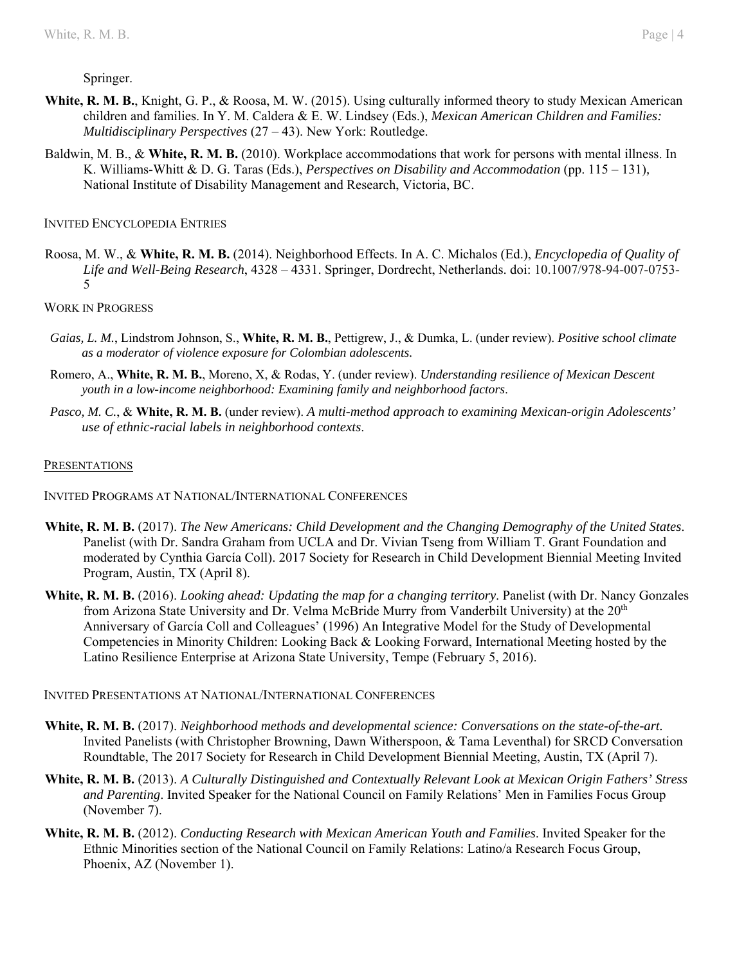#### Springer.

- **White, R. M. B.**, Knight, G. P., & Roosa, M. W. (2015). Using culturally informed theory to study Mexican American children and families. In Y. M. Caldera & E. W. Lindsey (Eds.), *Mexican American Children and Families: Multidisciplinary Perspectives* (27 – 43). New York: Routledge.
- Baldwin, M. B., & **White, R. M. B.** (2010). Workplace accommodations that work for persons with mental illness. In K. Williams-Whitt & D. G. Taras (Eds.), *Perspectives on Disability and Accommodation* (pp. 115 – 131)*,* National Institute of Disability Management and Research, Victoria, BC.

#### INVITED ENCYCLOPEDIA ENTRIES

Roosa, M. W., & **White, R. M. B.** (2014). Neighborhood Effects. In A. C. Michalos (Ed.), *Encyclopedia of Quality of Life and Well-Being Research*, 4328 – 4331. Springer, Dordrecht, Netherlands. doi: 10.1007/978-94-007-0753- 5

## WORK IN PROGRESS

- *Gaias, L. M.*, Lindstrom Johnson, S., **White, R. M. B.**, Pettigrew, J., & Dumka, L. (under review). *Positive school climate as a moderator of violence exposure for Colombian adolescents.*
- Romero, A., **White, R. M. B.**, Moreno, X, & Rodas, Y. (under review). *Understanding resilience of Mexican Descent youth in a low-income neighborhood: Examining family and neighborhood factors*.
- *Pasco, M. C.*, & **White, R. M. B.** (under review). *A multi-method approach to examining Mexican-origin Adolescents' use of ethnic-racial labels in neighborhood contexts*.

## **PRESENTATIONS**

- INVITED PROGRAMS AT NATIONAL/INTERNATIONAL CONFERENCES
- **White, R. M. B.** (2017). *The New Americans: Child Development and the Changing Demography of the United States*. Panelist (with Dr. Sandra Graham from UCLA and Dr. Vivian Tseng from William T. Grant Foundation and moderated by Cynthia García Coll). 2017 Society for Research in Child Development Biennial Meeting Invited Program, Austin, TX (April 8).
- **White, R. M. B.** (2016). *Looking ahead: Updating the map for a changing territory*. Panelist (with Dr. Nancy Gonzales from Arizona State University and Dr. Velma McBride Murry from Vanderbilt University) at the 20<sup>th</sup> Anniversary of García Coll and Colleagues' (1996) An Integrative Model for the Study of Developmental Competencies in Minority Children: Looking Back & Looking Forward, International Meeting hosted by the Latino Resilience Enterprise at Arizona State University, Tempe (February 5, 2016).

#### INVITED PRESENTATIONS AT NATIONAL/INTERNATIONAL CONFERENCES

- **White, R. M. B.** (2017). *Neighborhood methods and developmental science: Conversations on the state-of-the-art.*  Invited Panelists (with Christopher Browning, Dawn Witherspoon, & Tama Leventhal) for SRCD Conversation Roundtable, The 2017 Society for Research in Child Development Biennial Meeting, Austin, TX (April 7).
- **White, R. M. B.** (2013). *A Culturally Distinguished and Contextually Relevant Look at Mexican Origin Fathers' Stress and Parenting*. Invited Speaker for the National Council on Family Relations' Men in Families Focus Group (November 7).
- **White, R. M. B.** (2012). *Conducting Research with Mexican American Youth and Families*. Invited Speaker for the Ethnic Minorities section of the National Council on Family Relations: Latino/a Research Focus Group, Phoenix, AZ (November 1).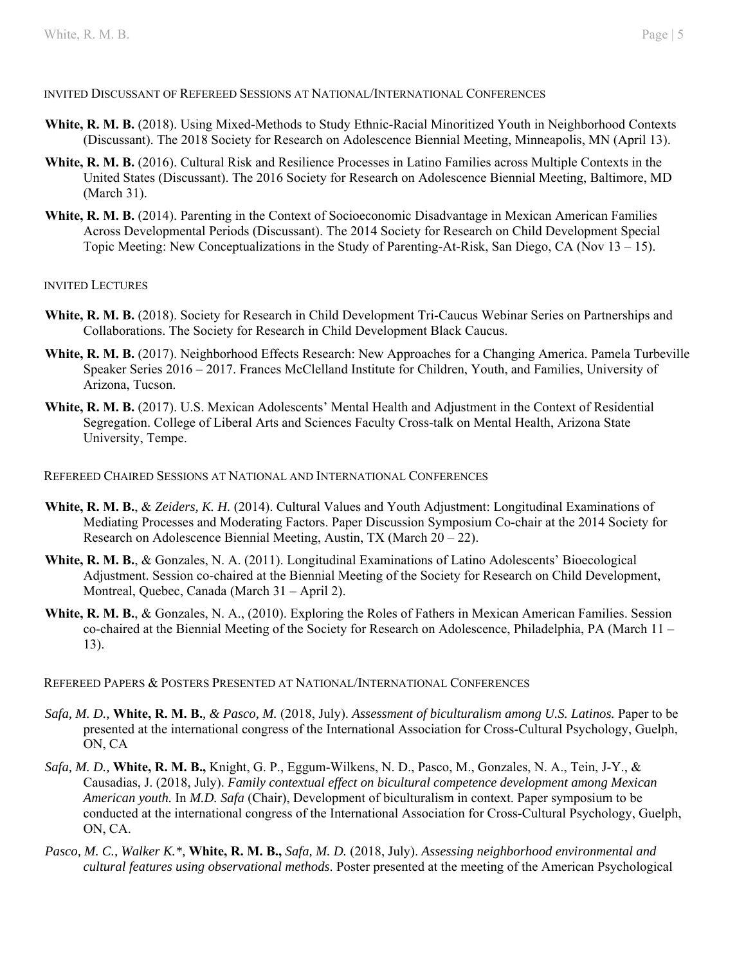## INVITED DISCUSSANT OF REFEREED SESSIONS AT NATIONAL/INTERNATIONAL CONFERENCES

- **White, R. M. B.** (2018). Using Mixed-Methods to Study Ethnic-Racial Minoritized Youth in Neighborhood Contexts (Discussant). The 2018 Society for Research on Adolescence Biennial Meeting, Minneapolis, MN (April 13).
- **White, R. M. B.** (2016). Cultural Risk and Resilience Processes in Latino Families across Multiple Contexts in the United States (Discussant). The 2016 Society for Research on Adolescence Biennial Meeting, Baltimore, MD (March 31).
- **White, R. M. B.** (2014). Parenting in the Context of Socioeconomic Disadvantage in Mexican American Families Across Developmental Periods (Discussant). The 2014 Society for Research on Child Development Special Topic Meeting: New Conceptualizations in the Study of Parenting-At-Risk, San Diego, CA (Nov  $13 - 15$ ).

#### INVITED LECTURES

- White, R. M. B. (2018). Society for Research in Child Development Tri-Caucus Webinar Series on Partnerships and Collaborations. The Society for Research in Child Development Black Caucus.
- **White, R. M. B.** (2017). Neighborhood Effects Research: New Approaches for a Changing America. Pamela Turbeville Speaker Series 2016 – 2017. Frances McClelland Institute for Children, Youth, and Families, University of Arizona, Tucson.
- **White, R. M. B.** (2017). U.S. Mexican Adolescents' Mental Health and Adjustment in the Context of Residential Segregation. College of Liberal Arts and Sciences Faculty Cross-talk on Mental Health, Arizona State University, Tempe.

#### REFEREED CHAIRED SESSIONS AT NATIONAL AND INTERNATIONAL CONFERENCES

- **White, R. M. B.**, & *Zeiders, K. H.* (2014). Cultural Values and Youth Adjustment: Longitudinal Examinations of Mediating Processes and Moderating Factors. Paper Discussion Symposium Co-chair at the 2014 Society for Research on Adolescence Biennial Meeting, Austin, TX (March  $20 - 22$ ).
- **White, R. M. B.**, & Gonzales, N. A. (2011). Longitudinal Examinations of Latino Adolescents' Bioecological Adjustment. Session co-chaired at the Biennial Meeting of the Society for Research on Child Development, Montreal, Quebec, Canada (March 31 – April 2).
- **White, R. M. B.**, & Gonzales, N. A., (2010). Exploring the Roles of Fathers in Mexican American Families. Session co-chaired at the Biennial Meeting of the Society for Research on Adolescence, Philadelphia, PA (March 11 – 13).

REFEREED PAPERS & POSTERS PRESENTED AT NATIONAL/INTERNATIONAL CONFERENCES

- *Safa, M. D.,* **White, R. M. B.***, & Pasco, M.* (2018, July). *Assessment of biculturalism among U.S. Latinos.* Paper to be presented at the international congress of the International Association for Cross-Cultural Psychology, Guelph, ON, CA
- *Safa, M. D.,* **White, R. M. B.,** Knight, G. P., Eggum-Wilkens, N. D., Pasco, M., Gonzales, N. A., Tein, J-Y., & Causadias, J. (2018, July). *Family contextual effect on bicultural competence development among Mexican American youth.* In *M.D. Safa* (Chair), Development of biculturalism in context. Paper symposium to be conducted at the international congress of the International Association for Cross-Cultural Psychology, Guelph, ON, CA.
- *Pasco, M. C., Walker K.\*,* **White, R. M. B.,** *Safa, M. D.* (2018, July). *Assessing neighborhood environmental and cultural features using observational methods*. Poster presented at the meeting of the American Psychological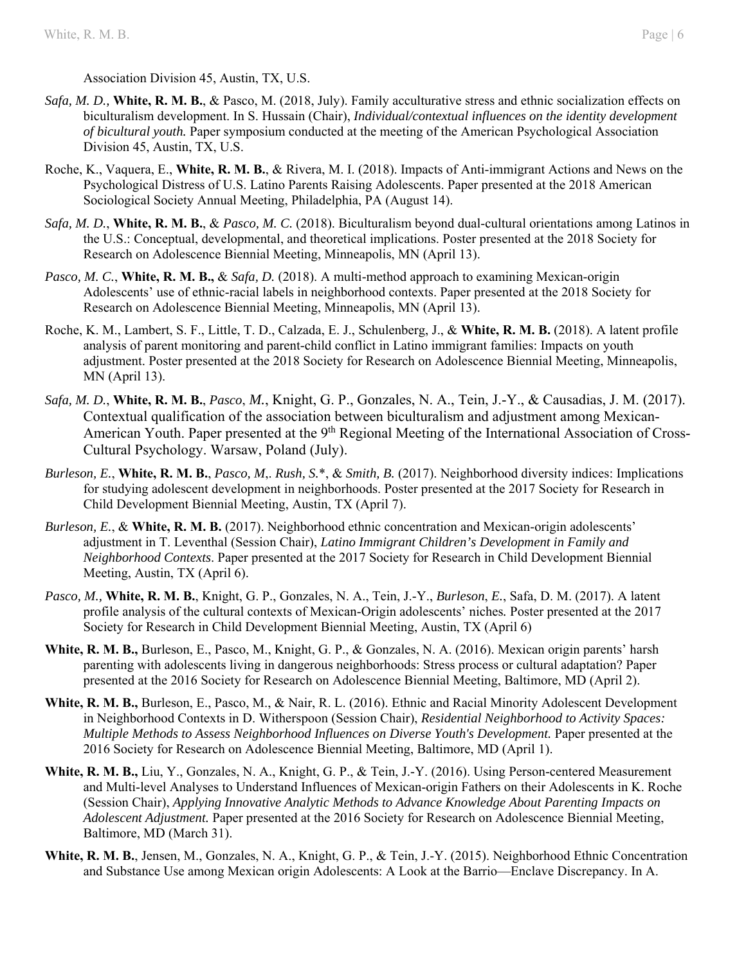Association Division 45, Austin, TX, U.S.

- *Safa, M. D.,* **White, R. M. B.**, & Pasco, M. (2018, July). Family acculturative stress and ethnic socialization effects on biculturalism development. In S. Hussain (Chair), *Individual/contextual influences on the identity development of bicultural youth.* Paper symposium conducted at the meeting of the American Psychological Association Division 45, Austin, TX, U.S.
- Roche, K., Vaquera, E., **White, R. M. B.**, & Rivera, M. I. (2018). Impacts of Anti-immigrant Actions and News on the Psychological Distress of U.S. Latino Parents Raising Adolescents. Paper presented at the 2018 American Sociological Society Annual Meeting, Philadelphia, PA (August 14).
- *Safa, M. D.*, **White, R. M. B.**, & *Pasco, M. C.* (2018). Biculturalism beyond dual-cultural orientations among Latinos in the U.S.: Conceptual, developmental, and theoretical implications. Poster presented at the 2018 Society for Research on Adolescence Biennial Meeting, Minneapolis, MN (April 13).
- *Pasco, M. C.*, **White, R. M. B.,** & *Safa, D.* (2018). A multi-method approach to examining Mexican-origin Adolescents' use of ethnic-racial labels in neighborhood contexts. Paper presented at the 2018 Society for Research on Adolescence Biennial Meeting, Minneapolis, MN (April 13).
- Roche, K. M., Lambert, S. F., Little, T. D., Calzada, E. J., Schulenberg, J., & **White, R. M. B.** (2018). A latent profile analysis of parent monitoring and parent-child conflict in Latino immigrant families: Impacts on youth adjustment. Poster presented at the 2018 Society for Research on Adolescence Biennial Meeting, Minneapolis, MN (April 13).
- *Safa, M. D.*, **White, R. M. B.**, *Pasco*, *M.*, Knight, G. P., Gonzales, N. A., Tein, J.-Y., & Causadias, J. M. (2017). Contextual qualification of the association between biculturalism and adjustment among Mexican-American Youth. Paper presented at the 9<sup>th</sup> Regional Meeting of the International Association of Cross-Cultural Psychology. Warsaw, Poland (July).
- *Burleson, E.*, **White, R. M. B.**, *Pasco, M*,. *Rush, S.*\*, & *Smith, B.* (2017). Neighborhood diversity indices: Implications for studying adolescent development in neighborhoods. Poster presented at the 2017 Society for Research in Child Development Biennial Meeting, Austin, TX (April 7).
- *Burleson, E.*, & **White, R. M. B.** (2017). Neighborhood ethnic concentration and Mexican-origin adolescents' adjustment in T. Leventhal (Session Chair), *Latino Immigrant Children's Development in Family and Neighborhood Contexts*. Paper presented at the 2017 Society for Research in Child Development Biennial Meeting, Austin, TX (April 6).
- *Pasco, M.,* **White, R. M. B.**, Knight, G. P., Gonzales, N. A., Tein, J.-Y., *Burleson*, *E.*, Safa, D. M. (2017). A latent profile analysis of the cultural contexts of Mexican-Origin adolescents' niches*.* Poster presented at the 2017 Society for Research in Child Development Biennial Meeting, Austin, TX (April 6)
- **White, R. M. B.,** Burleson, E., Pasco, M., Knight, G. P., & Gonzales, N. A. (2016). Mexican origin parents' harsh parenting with adolescents living in dangerous neighborhoods: Stress process or cultural adaptation? Paper presented at the 2016 Society for Research on Adolescence Biennial Meeting, Baltimore, MD (April 2).
- **White, R. M. B.,** Burleson, E., Pasco, M., & Nair, R. L. (2016). Ethnic and Racial Minority Adolescent Development in Neighborhood Contexts in D. Witherspoon (Session Chair), *Residential Neighborhood to Activity Spaces: Multiple Methods to Assess Neighborhood Influences on Diverse Youth's Development.* Paper presented at the 2016 Society for Research on Adolescence Biennial Meeting, Baltimore, MD (April 1).
- **White, R. M. B.,** Liu, Y., Gonzales, N. A., Knight, G. P., & Tein, J.-Y. (2016). Using Person-centered Measurement and Multi-level Analyses to Understand Influences of Mexican-origin Fathers on their Adolescents in K. Roche (Session Chair), *Applying Innovative Analytic Methods to Advance Knowledge About Parenting Impacts on Adolescent Adjustment.* Paper presented at the 2016 Society for Research on Adolescence Biennial Meeting, Baltimore, MD (March 31).
- **White, R. M. B.**, Jensen, M., Gonzales, N. A., Knight, G. P., & Tein, J.-Y. (2015). Neighborhood Ethnic Concentration and Substance Use among Mexican origin Adolescents: A Look at the Barrio—Enclave Discrepancy. In A.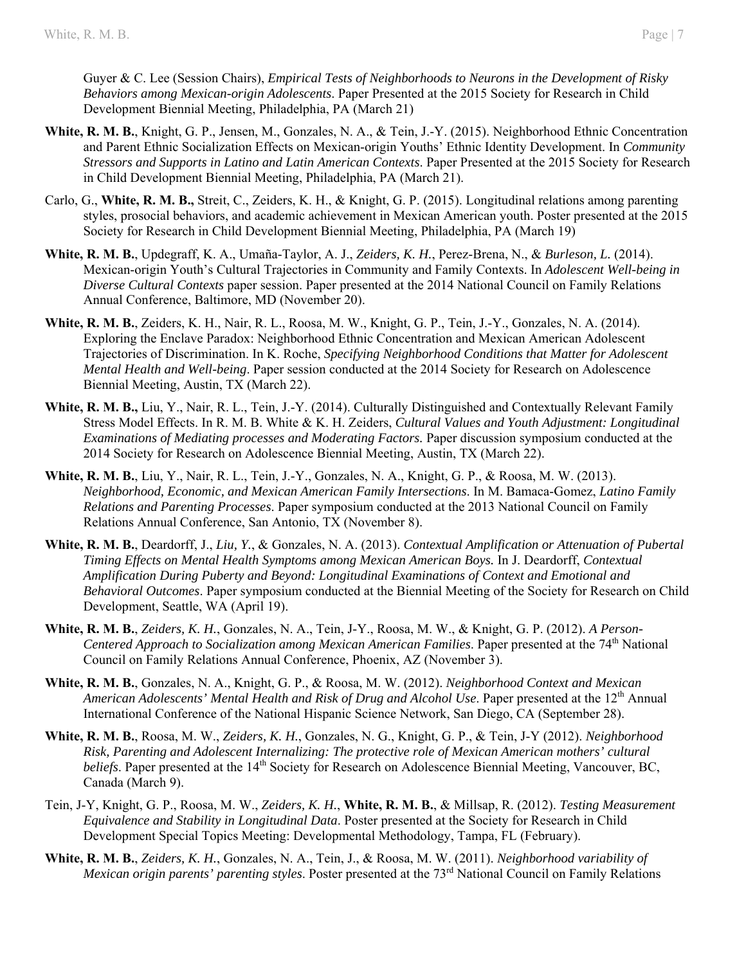Guyer & C. Lee (Session Chairs), *Empirical Tests of Neighborhoods to Neurons in the Development of Risky Behaviors among Mexican-origin Adolescents*. Paper Presented at the 2015 Society for Research in Child Development Biennial Meeting, Philadelphia, PA (March 21)

- **White, R. M. B.**, Knight, G. P., Jensen, M., Gonzales, N. A., & Tein, J.-Y. (2015). Neighborhood Ethnic Concentration and Parent Ethnic Socialization Effects on Mexican-origin Youths' Ethnic Identity Development. In *Community Stressors and Supports in Latino and Latin American Contexts*. Paper Presented at the 2015 Society for Research in Child Development Biennial Meeting, Philadelphia, PA (March 21).
- Carlo, G., **White, R. M. B.,** Streit, C., Zeiders, K. H., & Knight, G. P. (2015). Longitudinal relations among parenting styles, prosocial behaviors, and academic achievement in Mexican American youth. Poster presented at the 2015 Society for Research in Child Development Biennial Meeting, Philadelphia, PA (March 19)
- **White, R. M. B.**, Updegraff, K. A., Umaña-Taylor, A. J., *Zeiders, K. H.*, Perez-Brena, N., & *Burleson, L.* (2014). Mexican-origin Youth's Cultural Trajectories in Community and Family Contexts. In *Adolescent Well-being in Diverse Cultural Contexts* paper session. Paper presented at the 2014 National Council on Family Relations Annual Conference, Baltimore, MD (November 20).
- **White, R. M. B.**, Zeiders, K. H., Nair, R. L., Roosa, M. W., Knight, G. P., Tein, J.-Y., Gonzales, N. A. (2014). Exploring the Enclave Paradox: Neighborhood Ethnic Concentration and Mexican American Adolescent Trajectories of Discrimination. In K. Roche, *Specifying Neighborhood Conditions that Matter for Adolescent Mental Health and Well-being*. Paper session conducted at the 2014 Society for Research on Adolescence Biennial Meeting, Austin, TX (March 22).
- **White, R. M. B.,** Liu, Y., Nair, R. L., Tein, J.-Y. (2014). Culturally Distinguished and Contextually Relevant Family Stress Model Effects. In R. M. B. White & K. H. Zeiders, *Cultural Values and Youth Adjustment: Longitudinal Examinations of Mediating processes and Moderating Factors.* Paper discussion symposium conducted at the 2014 Society for Research on Adolescence Biennial Meeting, Austin, TX (March 22).
- **White, R. M. B.**, Liu, Y., Nair, R. L., Tein, J.-Y., Gonzales, N. A., Knight, G. P., & Roosa, M. W. (2013). *Neighborhood, Economic, and Mexican American Family Intersections*. In M. Bamaca-Gomez, *Latino Family Relations and Parenting Processes*. Paper symposium conducted at the 2013 National Council on Family Relations Annual Conference, San Antonio, TX (November 8).
- **White, R. M. B.**, Deardorff, J., *Liu, Y.*, & Gonzales, N. A. (2013). *Contextual Amplification or Attenuation of Pubertal Timing Effects on Mental Health Symptoms among Mexican American Boys.* In J. Deardorff, *Contextual Amplification During Puberty and Beyond: Longitudinal Examinations of Context and Emotional and Behavioral Outcomes*. Paper symposium conducted at the Biennial Meeting of the Society for Research on Child Development, Seattle, WA (April 19).
- **White, R. M. B.**, *Zeiders, K. H.*, Gonzales, N. A., Tein, J-Y., Roosa, M. W., & Knight, G. P. (2012). *A Person-Centered Approach to Socialization among Mexican American Families*. Paper presented at the 74<sup>th</sup> National Council on Family Relations Annual Conference, Phoenix, AZ (November 3).
- **White, R. M. B.**, Gonzales, N. A., Knight, G. P., & Roosa, M. W. (2012). *Neighborhood Context and Mexican American Adolescents' Mental Health and Risk of Drug and Alcohol Use*. Paper presented at the 12<sup>th</sup> Annual International Conference of the National Hispanic Science Network, San Diego, CA (September 28).
- **White, R. M. B.**, Roosa, M. W., *Zeiders, K. H.*, Gonzales, N. G., Knight, G. P., & Tein, J-Y (2012). *Neighborhood Risk, Parenting and Adolescent Internalizing: The protective role of Mexican American mothers' cultural beliefs*. Paper presented at the 14<sup>th</sup> Society for Research on Adolescence Biennial Meeting, Vancouver, BC, Canada (March 9).
- Tein, J-Y, Knight, G. P., Roosa, M. W., *Zeiders, K. H.*, **White, R. M. B.**, & Millsap, R. (2012). *Testing Measurement Equivalence and Stability in Longitudinal Data*. Poster presented at the Society for Research in Child Development Special Topics Meeting: Developmental Methodology, Tampa, FL (February).
- **White, R. M. B.**, *Zeiders, K. H.*, Gonzales, N. A., Tein, J., & Roosa, M. W. (2011). *Neighborhood variability of Mexican origin parents' parenting styles*. Poster presented at the 73<sup>rd</sup> National Council on Family Relations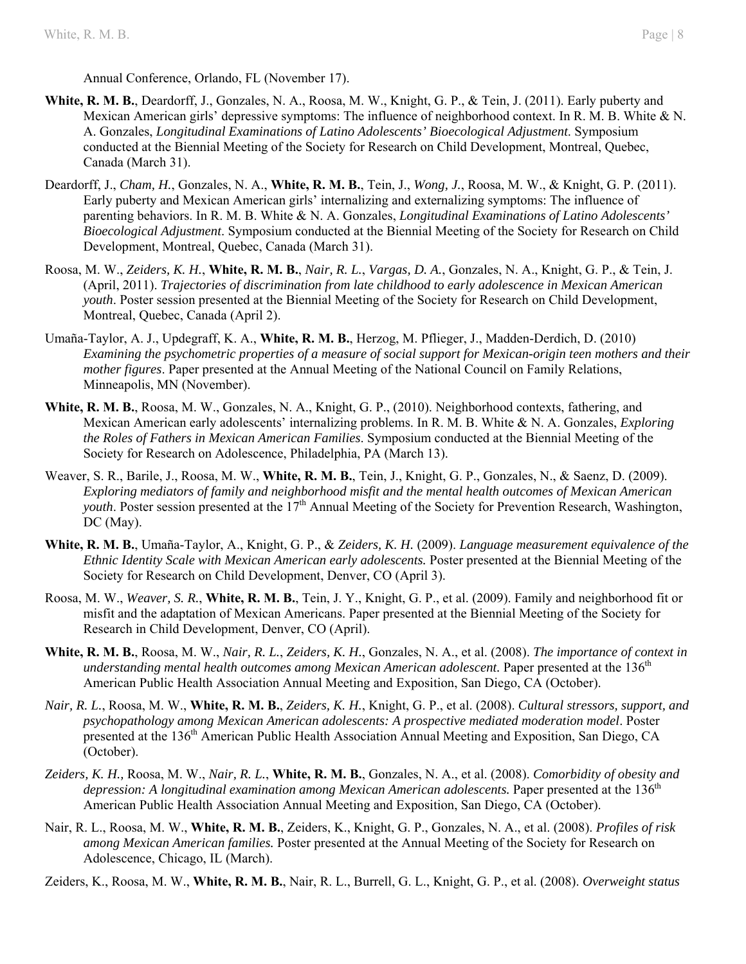Annual Conference, Orlando, FL (November 17).

- **White, R. M. B.**, Deardorff, J., Gonzales, N. A., Roosa, M. W., Knight, G. P., & Tein, J. (2011). Early puberty and Mexican American girls' depressive symptoms: The influence of neighborhood context. In R. M. B. White & N. A. Gonzales, *Longitudinal Examinations of Latino Adolescents' Bioecological Adjustment*. Symposium conducted at the Biennial Meeting of the Society for Research on Child Development, Montreal, Quebec, Canada (March 31).
- Deardorff, J., *Cham, H.*, Gonzales, N. A., **White, R. M. B.**, Tein, J., *Wong, J.*, Roosa, M. W., & Knight, G. P. (2011). Early puberty and Mexican American girls' internalizing and externalizing symptoms: The influence of parenting behaviors. In R. M. B. White & N. A. Gonzales, *Longitudinal Examinations of Latino Adolescents' Bioecological Adjustment*. Symposium conducted at the Biennial Meeting of the Society for Research on Child Development, Montreal, Quebec, Canada (March 31).
- Roosa, M. W., *Zeiders, K. H.*, **White, R. M. B.**, *Nair, R. L.*, *Vargas, D. A.*, Gonzales, N. A., Knight, G. P., & Tein, J. (April, 2011). *Trajectories of discrimination from late childhood to early adolescence in Mexican American youth*. Poster session presented at the Biennial Meeting of the Society for Research on Child Development, Montreal, Quebec, Canada (April 2).
- Umaña-Taylor, A. J., Updegraff, K. A., **White, R. M. B.**, Herzog, M. Pflieger, J., Madden-Derdich, D. (2010) *Examining the psychometric properties of a measure of social support for Mexican-origin teen mothers and their mother figures*. Paper presented at the Annual Meeting of the National Council on Family Relations, Minneapolis, MN (November).
- **White, R. M. B.**, Roosa, M. W., Gonzales, N. A., Knight, G. P., (2010). Neighborhood contexts, fathering, and Mexican American early adolescents' internalizing problems. In R. M. B. White & N. A. Gonzales, *Exploring the Roles of Fathers in Mexican American Families*. Symposium conducted at the Biennial Meeting of the Society for Research on Adolescence, Philadelphia, PA (March 13).
- Weaver, S. R., Barile, J., Roosa, M. W., **White, R. M. B.**, Tein, J., Knight, G. P., Gonzales, N., & Saenz, D. (2009). *Exploring mediators of family and neighborhood misfit and the mental health outcomes of Mexican American youth*. Poster session presented at the 17<sup>th</sup> Annual Meeting of the Society for Prevention Research, Washington, DC (May).
- **White, R. M. B.**, Umaña-Taylor, A., Knight, G. P., & *Zeiders, K. H.* (2009). *Language measurement equivalence of the Ethnic Identity Scale with Mexican American early adolescents.* Poster presented at the Biennial Meeting of the Society for Research on Child Development, Denver, CO (April 3).
- Roosa, M. W., *Weaver, S. R.*, **White, R. M. B.**, Tein, J. Y., Knight, G. P., et al. (2009). Family and neighborhood fit or misfit and the adaptation of Mexican Americans. Paper presented at the Biennial Meeting of the Society for Research in Child Development, Denver, CO (April).
- **White, R. M. B.**, Roosa, M. W., *Nair, R. L.*, *Zeiders, K. H.*, Gonzales, N. A., et al. (2008). *The importance of context in understanding mental health outcomes among Mexican American adolescent.* Paper presented at the 136<sup>th</sup> American Public Health Association Annual Meeting and Exposition, San Diego, CA (October).
- *Nair, R. L.*, Roosa, M. W., **White, R. M. B.**, *Zeiders, K. H.*, Knight, G. P., et al. (2008). *Cultural stressors, support, and psychopathology among Mexican American adolescents: A prospective mediated moderation model*. Poster presented at the 136th American Public Health Association Annual Meeting and Exposition, San Diego, CA (October).
- *Zeiders, K. H.,* Roosa, M. W., *Nair, R. L.*, **White, R. M. B.**, Gonzales, N. A., et al. (2008). *Comorbidity of obesity and depression: A longitudinal examination among Mexican American adolescents.* Paper presented at the 136<sup>th</sup> American Public Health Association Annual Meeting and Exposition, San Diego, CA (October).
- Nair, R. L., Roosa, M. W., **White, R. M. B.**, Zeiders, K., Knight, G. P., Gonzales, N. A., et al. (2008). *Profiles of risk among Mexican American families.* Poster presented at the Annual Meeting of the Society for Research on Adolescence, Chicago, IL (March).
- Zeiders, K., Roosa, M. W., **White, R. M. B.**, Nair, R. L., Burrell, G. L., Knight, G. P., et al. (2008). *Overweight status*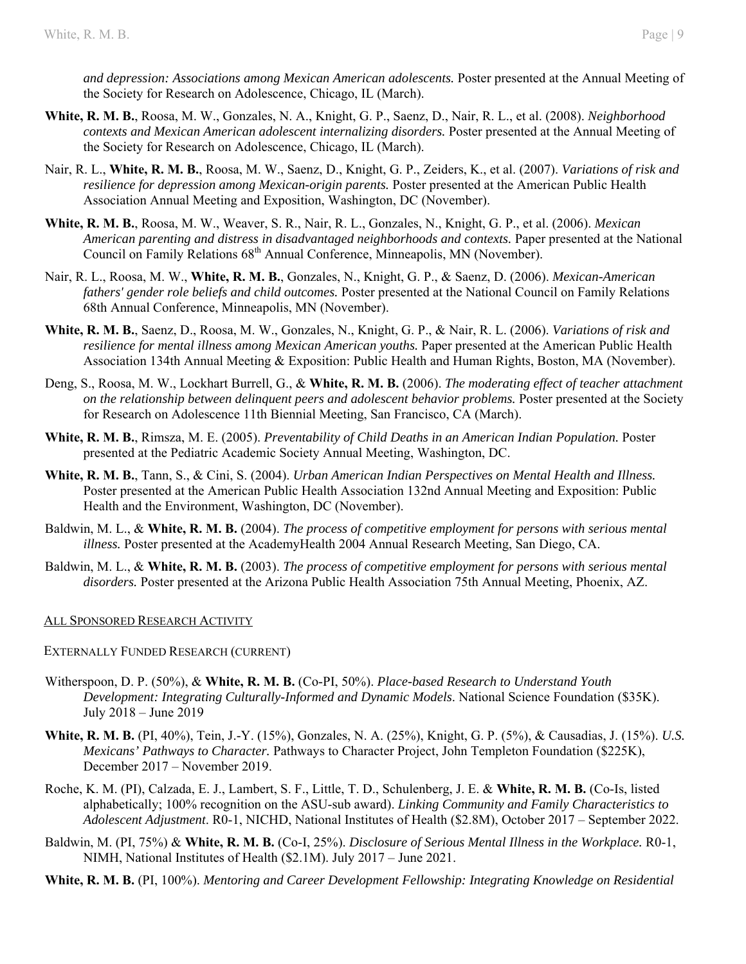*and depression: Associations among Mexican American adolescents.* Poster presented at the Annual Meeting of the Society for Research on Adolescence, Chicago, IL (March).

- **White, R. M. B.**, Roosa, M. W., Gonzales, N. A., Knight, G. P., Saenz, D., Nair, R. L., et al. (2008). *Neighborhood contexts and Mexican American adolescent internalizing disorders.* Poster presented at the Annual Meeting of the Society for Research on Adolescence, Chicago, IL (March).
- Nair, R. L., **White, R. M. B.**, Roosa, M. W., Saenz, D., Knight, G. P., Zeiders, K., et al. (2007). *Variations of risk and resilience for depression among Mexican-origin parents.* Poster presented at the American Public Health Association Annual Meeting and Exposition, Washington, DC (November).
- **White, R. M. B.**, Roosa, M. W., Weaver, S. R., Nair, R. L., Gonzales, N., Knight, G. P., et al. (2006). *Mexican American parenting and distress in disadvantaged neighborhoods and contexts.* Paper presented at the National Council on Family Relations 68<sup>th</sup> Annual Conference, Minneapolis, MN (November).
- Nair, R. L., Roosa, M. W., **White, R. M. B.**, Gonzales, N., Knight, G. P., & Saenz, D. (2006). *Mexican-American fathers' gender role beliefs and child outcomes.* Poster presented at the National Council on Family Relations 68th Annual Conference, Minneapolis, MN (November).
- **White, R. M. B.**, Saenz, D., Roosa, M. W., Gonzales, N., Knight, G. P., & Nair, R. L. (2006). *Variations of risk and resilience for mental illness among Mexican American youths.* Paper presented at the American Public Health Association 134th Annual Meeting & Exposition: Public Health and Human Rights, Boston, MA (November).
- Deng, S., Roosa, M. W., Lockhart Burrell, G., & **White, R. M. B.** (2006). *The moderating effect of teacher attachment on the relationship between delinquent peers and adolescent behavior problems.* Poster presented at the Society for Research on Adolescence 11th Biennial Meeting, San Francisco, CA (March).
- **White, R. M. B.**, Rimsza, M. E. (2005). *Preventability of Child Deaths in an American Indian Population.* Poster presented at the Pediatric Academic Society Annual Meeting, Washington, DC.
- **White, R. M. B.**, Tann, S., & Cini, S. (2004). *Urban American Indian Perspectives on Mental Health and Illness.* Poster presented at the American Public Health Association 132nd Annual Meeting and Exposition: Public Health and the Environment, Washington, DC (November).
- Baldwin, M. L., & **White, R. M. B.** (2004). *The process of competitive employment for persons with serious mental illness.* Poster presented at the AcademyHealth 2004 Annual Research Meeting, San Diego, CA.
- Baldwin, M. L., & **White, R. M. B.** (2003). *The process of competitive employment for persons with serious mental disorders.* Poster presented at the Arizona Public Health Association 75th Annual Meeting, Phoenix, AZ.

#### ALL SPONSORED RESEARCH ACTIVITY

EXTERNALLY FUNDED RESEARCH (CURRENT)

- Witherspoon, D. P. (50%), & **White, R. M. B.** (Co-PI, 50%). *Place-based Research to Understand Youth Development: Integrating Culturally-Informed and Dynamic Models*. National Science Foundation (\$35K). July 2018 – June 2019
- **White, R. M. B.** (PI, 40%), Tein, J.-Y. (15%), Gonzales, N. A. (25%), Knight, G. P. (5%), & Causadias, J. (15%). *U.S. Mexicans' Pathways to Character.* Pathways to Character Project, John Templeton Foundation (\$225K), December 2017 – November 2019.
- Roche, K. M. (PI), Calzada, E. J., Lambert, S. F., Little, T. D., Schulenberg, J. E. & **White, R. M. B.** (Co-Is, listed alphabetically; 100% recognition on the ASU-sub award). *Linking Community and Family Characteristics to Adolescent Adjustment*. R0-1, NICHD, National Institutes of Health (\$2.8M), October 2017 – September 2022.
- Baldwin, M. (PI, 75%) & **White, R. M. B.** (Co-I, 25%). *Disclosure of Serious Mental Illness in the Workplace.* R0-1, NIMH, National Institutes of Health (\$2.1M). July 2017 – June 2021.
- **White, R. M. B.** (PI, 100%). *Mentoring and Career Development Fellowship: Integrating Knowledge on Residential*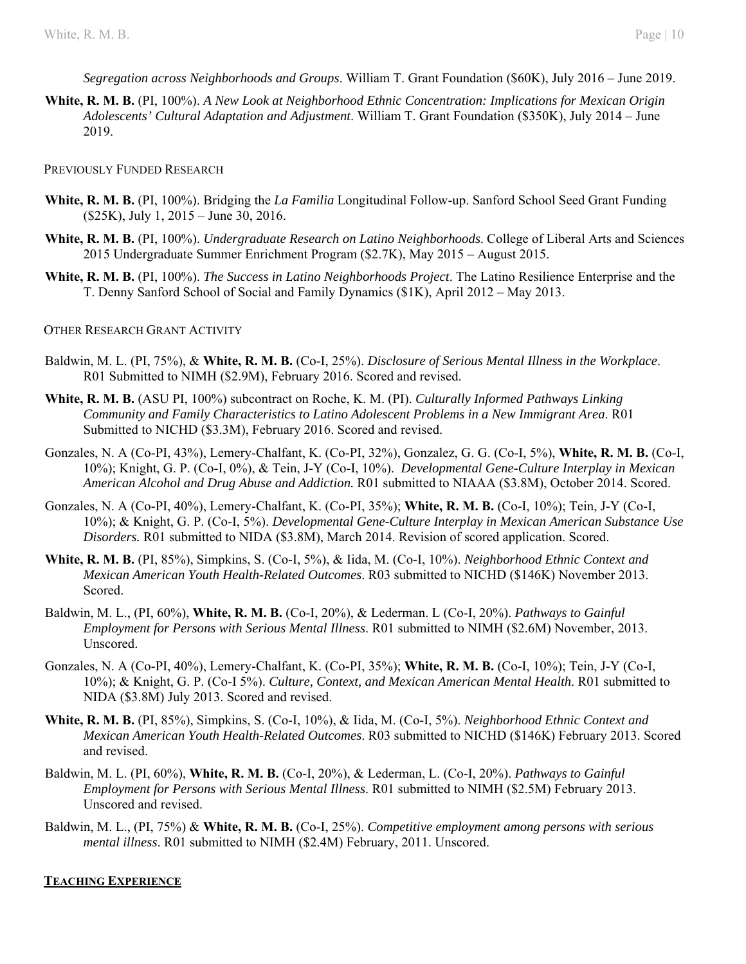*Segregation across Neighborhoods and Groups*. William T. Grant Foundation (\$60K), July 2016 – June 2019.

**White, R. M. B.** (PI, 100%). *A New Look at Neighborhood Ethnic Concentration: Implications for Mexican Origin Adolescents' Cultural Adaptation and Adjustment*. William T. Grant Foundation (\$350K), July 2014 – June 2019.

PREVIOUSLY FUNDED RESEARCH

- **White, R. M. B.** (PI, 100%). Bridging the *La Familia* Longitudinal Follow-up. Sanford School Seed Grant Funding (\$25K), July 1, 2015 – June 30, 2016.
- **White, R. M. B.** (PI, 100%). *Undergraduate Research on Latino Neighborhoods*. College of Liberal Arts and Sciences 2015 Undergraduate Summer Enrichment Program (\$2.7K), May 2015 – August 2015.
- **White, R. M. B.** (PI, 100%). *The Success in Latino Neighborhoods Project*. The Latino Resilience Enterprise and the T. Denny Sanford School of Social and Family Dynamics (\$1K), April 2012 – May 2013.

#### OTHER RESEARCH GRANT ACTIVITY

- Baldwin, M. L. (PI, 75%), & **White, R. M. B.** (Co-I, 25%). *Disclosure of Serious Mental Illness in the Workplace*. R01 Submitted to NIMH (\$2.9M), February 2016. Scored and revised.
- **White, R. M. B.** (ASU PI, 100%) subcontract on Roche, K. M. (PI). *Culturally Informed Pathways Linking Community and Family Characteristics to Latino Adolescent Problems in a New Immigrant Area*. R01 Submitted to NICHD (\$3.3M), February 2016. Scored and revised.
- Gonzales, N. A (Co-PI, 43%), Lemery-Chalfant, K. (Co-PI, 32%), Gonzalez, G. G. (Co-I, 5%), **White, R. M. B.** (Co-I, 10%); Knight, G. P. (Co-I, 0%), & Tein, J-Y (Co-I, 10%). *Developmental Gene-Culture Interplay in Mexican American Alcohol and Drug Abuse and Addiction.* R01 submitted to NIAAA (\$3.8M), October 2014. Scored.
- Gonzales, N. A (Co-PI, 40%), Lemery-Chalfant, K. (Co-PI, 35%); **White, R. M. B.** (Co-I, 10%); Tein, J-Y (Co-I, 10%); & Knight, G. P. (Co-I, 5%). *Developmental Gene-Culture Interplay in Mexican American Substance Use Disorders.* R01 submitted to NIDA (\$3.8M), March 2014. Revision of scored application. Scored.
- **White, R. M. B.** (PI, 85%), Simpkins, S. (Co-I, 5%), & Iida, M. (Co-I, 10%). *Neighborhood Ethnic Context and Mexican American Youth Health-Related Outcomes*. R03 submitted to NICHD (\$146K) November 2013. Scored.
- Baldwin, M. L., (PI, 60%), **White, R. M. B.** (Co-I, 20%), & Lederman. L (Co-I, 20%). *Pathways to Gainful Employment for Persons with Serious Mental Illness*. R01 submitted to NIMH (\$2.6M) November, 2013. Unscored.
- Gonzales, N. A (Co-PI, 40%), Lemery-Chalfant, K. (Co-PI, 35%); **White, R. M. B.** (Co-I, 10%); Tein, J-Y (Co-I, 10%); & Knight, G. P. (Co-I 5%). *Culture, Context, and Mexican American Mental Health*. R01 submitted to NIDA (\$3.8M) July 2013. Scored and revised.
- **White, R. M. B.** (PI, 85%), Simpkins, S. (Co-I, 10%), & Iida, M. (Co-I, 5%). *Neighborhood Ethnic Context and Mexican American Youth Health-Related Outcomes*. R03 submitted to NICHD (\$146K) February 2013. Scored and revised.
- Baldwin, M. L. (PI, 60%), **White, R. M. B.** (Co-I, 20%), & Lederman, L. (Co-I, 20%). *Pathways to Gainful Employment for Persons with Serious Mental Illness*. R01 submitted to NIMH (\$2.5M) February 2013. Unscored and revised.
- Baldwin, M. L., (PI, 75%) & **White, R. M. B.** (Co-I, 25%). *Competitive employment among persons with serious mental illness*. R01 submitted to NIMH (\$2.4M) February, 2011. Unscored.

#### **TEACHING EXPERIENCE**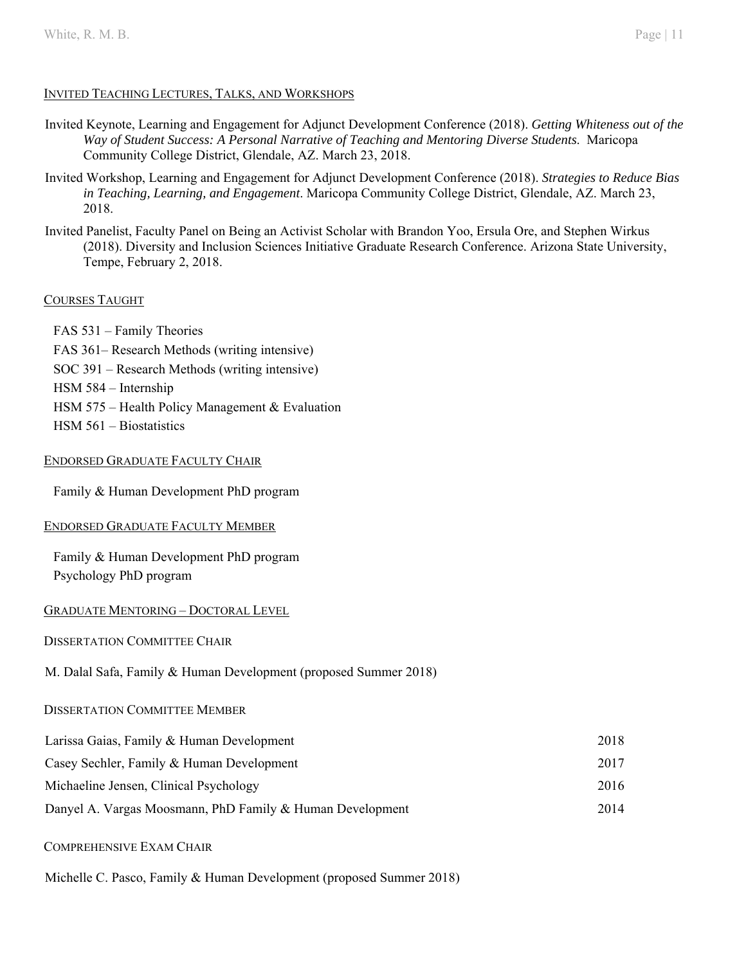## INVITED TEACHING LECTURES, TALKS, AND WORKSHOPS

- Invited Keynote, Learning and Engagement for Adjunct Development Conference (2018). *Getting Whiteness out of the Way of Student Success: A Personal Narrative of Teaching and Mentoring Diverse Students*. Maricopa Community College District, Glendale, AZ. March 23, 2018.
- Invited Workshop, Learning and Engagement for Adjunct Development Conference (2018). *Strategies to Reduce Bias in Teaching, Learning, and Engagement*. Maricopa Community College District, Glendale, AZ. March 23, 2018.
- Invited Panelist, Faculty Panel on Being an Activist Scholar with Brandon Yoo, Ersula Ore, and Stephen Wirkus (2018). Diversity and Inclusion Sciences Initiative Graduate Research Conference. Arizona State University, Tempe, February 2, 2018.

## COURSES TAUGHT

FAS 531 – Family Theories FAS 361– Research Methods (writing intensive) SOC 391 – Research Methods (writing intensive) HSM 584 – Internship HSM 575 – Health Policy Management & Evaluation HSM 561 – Biostatistics

## ENDORSED GRADUATE FACULTY CHAIR

Family & Human Development PhD program

#### ENDORSED GRADUATE FACULTY MEMBER

Family & Human Development PhD program Psychology PhD program

#### GRADUATE MENTORING – DOCTORAL LEVEL

#### DISSERTATION COMMITTEE CHAIR

## M. Dalal Safa, Family & Human Development (proposed Summer 2018)

#### DISSERTATION COMMITTEE MEMBER

| Larissa Gaias, Family & Human Development                 | 2018 |
|-----------------------------------------------------------|------|
| Casey Sechler, Family & Human Development                 | 2017 |
| Michaeline Jensen, Clinical Psychology                    | 2016 |
| Danyel A. Vargas Moosmann, PhD Family & Human Development | 2014 |

#### COMPREHENSIVE EXAM CHAIR

Michelle C. Pasco, Family & Human Development (proposed Summer 2018)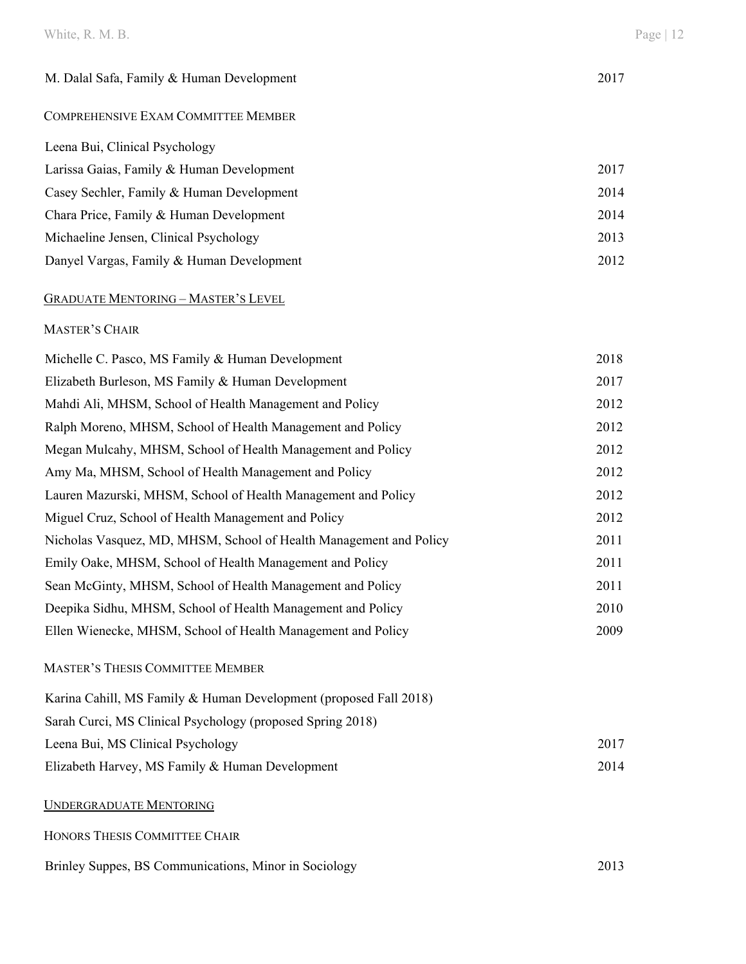## White, R. M. B. Page | 12

## COMPREHENSIVE EXAM COMMITTEE MEMBER

| Leena Bui, Clinical Psychology            |      |
|-------------------------------------------|------|
| Larissa Gaias, Family & Human Development | 2017 |
| Casey Sechler, Family & Human Development | 2014 |
| Chara Price, Family & Human Development   | 2014 |
| Michaeline Jensen, Clinical Psychology    | 2013 |
| Danyel Vargas, Family & Human Development | 2012 |

## GRADUATE MENTORING – MASTER'S LEVEL

## MASTER'S CHAIR

| Michelle C. Pasco, MS Family & Human Development                   | 2018 |
|--------------------------------------------------------------------|------|
| Elizabeth Burleson, MS Family & Human Development                  | 2017 |
| Mahdi Ali, MHSM, School of Health Management and Policy            | 2012 |
| Ralph Moreno, MHSM, School of Health Management and Policy         | 2012 |
| Megan Mulcahy, MHSM, School of Health Management and Policy        | 2012 |
| Amy Ma, MHSM, School of Health Management and Policy               | 2012 |
| Lauren Mazurski, MHSM, School of Health Management and Policy      | 2012 |
| Miguel Cruz, School of Health Management and Policy                | 2012 |
| Nicholas Vasquez, MD, MHSM, School of Health Management and Policy | 2011 |
| Emily Oake, MHSM, School of Health Management and Policy           | 2011 |
| Sean McGinty, MHSM, School of Health Management and Policy         | 2011 |
| Deepika Sidhu, MHSM, School of Health Management and Policy        | 2010 |
| Ellen Wienecke, MHSM, School of Health Management and Policy       | 2009 |
| <b>MASTER'S THESIS COMMITTEE MEMBER</b>                            |      |
| Karina Cahill, MS Family & Human Development (proposed Fall 2018)  |      |
| $Somb$ Cursi MC Clinical Davaholagy (muanoscal Suring 2019)        |      |

| Sarah Curci, MS Clinical Psychology (proposed Spring 2018) |      |
|------------------------------------------------------------|------|
| Leena Bui, MS Clinical Psychology                          | 2017 |
| Elizabeth Harvey, MS Family & Human Development            | 2014 |

## UNDERGRADUATE MENTORING

| HONORS THESIS COMMITTEE CHAIR                         |      |
|-------------------------------------------------------|------|
| Brinley Suppes, BS Communications, Minor in Sociology | 2013 |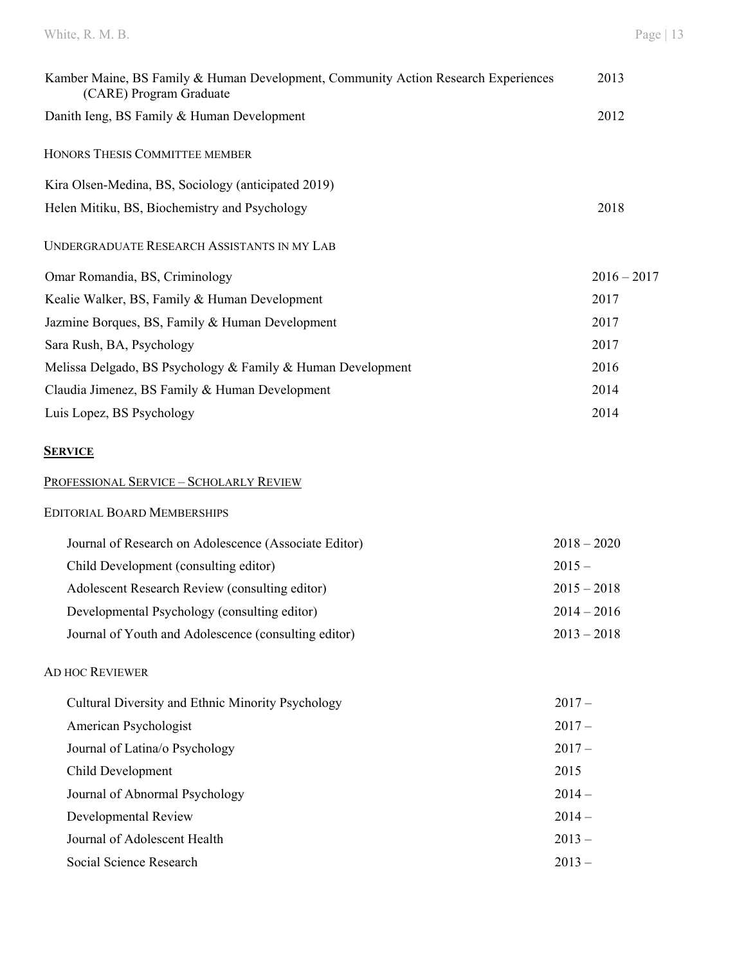## White, R. M. B. Page | 13

| Kamber Maine, BS Family & Human Development, Community Action Research Experiences<br>(CARE) Program Graduate | 2013          |
|---------------------------------------------------------------------------------------------------------------|---------------|
| Danith Ieng, BS Family & Human Development                                                                    | 2012          |
| HONORS THESIS COMMITTEE MEMBER                                                                                |               |
| Kira Olsen-Medina, BS, Sociology (anticipated 2019)                                                           |               |
| Helen Mitiku, BS, Biochemistry and Psychology                                                                 | 2018          |
| <b>UNDERGRADUATE RESEARCH ASSISTANTS IN MY LAB</b>                                                            |               |
| Omar Romandia, BS, Criminology                                                                                | $2016 - 2017$ |
| Kealie Walker, BS, Family & Human Development                                                                 | 2017          |
| Jazmine Borques, BS, Family & Human Development                                                               | 2017          |
| Sara Rush, BA, Psychology                                                                                     | 2017          |
| Melissa Delgado, BS Psychology & Family & Human Development                                                   | 2016          |
| Claudia Jimenez, BS Family & Human Development                                                                | 2014          |
| Luis Lopez, BS Psychology                                                                                     | 2014          |
| <b>SERVICE</b>                                                                                                |               |

|  | PROFESSIONAL SERVICE – SCHOLARLY REVIEW |
|--|-----------------------------------------|
|--|-----------------------------------------|

# EDITORIAL BOARD MEMBERSHIPS

| Journal of Research on Adolescence (Associate Editor) | $2018 - 2020$ |
|-------------------------------------------------------|---------------|
| Child Development (consulting editor)                 | $2015 -$      |
| Adolescent Research Review (consulting editor)        | $2015 - 2018$ |
| Developmental Psychology (consulting editor)          | $2014 - 2016$ |
| Journal of Youth and Adolescence (consulting editor)  | $2013 - 2018$ |

# AD HOC REVIEWER

| Cultural Diversity and Ethnic Minority Psychology | $2017 -$ |
|---------------------------------------------------|----------|
| American Psychologist                             | $2017-$  |
| Journal of Latina/o Psychology                    | $2017-$  |
| Child Development                                 | 2015     |
| Journal of Abnormal Psychology                    | $2014-$  |
| Developmental Review                              | $2014-$  |
| Journal of Adolescent Health                      | $2013 -$ |
| Social Science Research                           | $2013 -$ |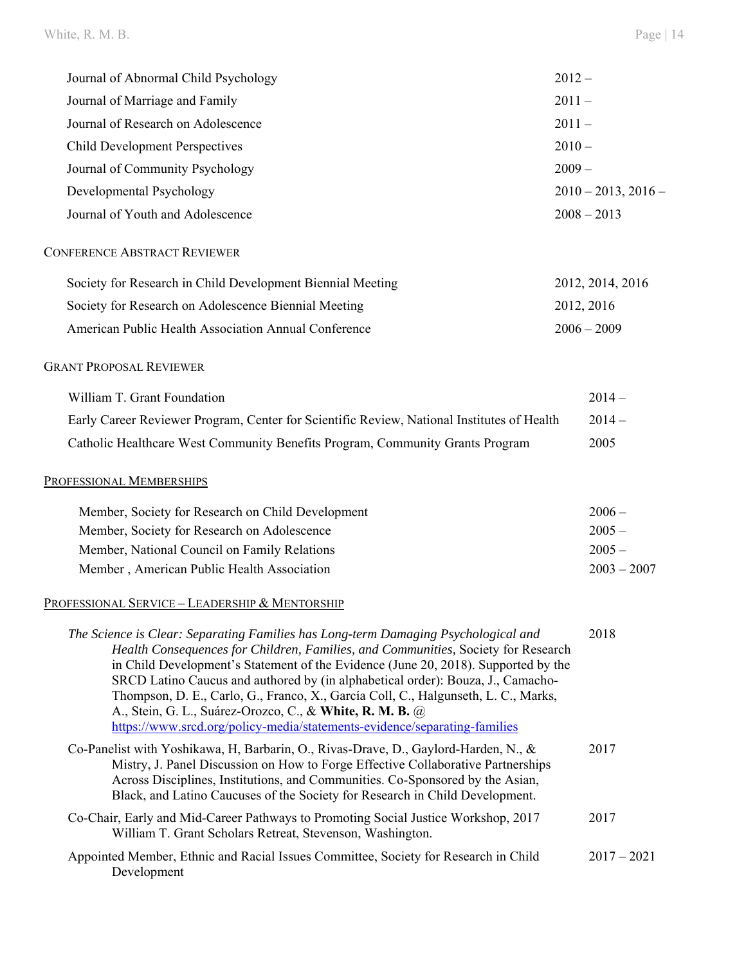| Journal of Abnormal Child Psychology                                                                                                                                                                                                                                                                                                                                                                                                                                                                                                                                            | $2012 -$                 |
|---------------------------------------------------------------------------------------------------------------------------------------------------------------------------------------------------------------------------------------------------------------------------------------------------------------------------------------------------------------------------------------------------------------------------------------------------------------------------------------------------------------------------------------------------------------------------------|--------------------------|
| Journal of Marriage and Family                                                                                                                                                                                                                                                                                                                                                                                                                                                                                                                                                  | $2011 -$                 |
| Journal of Research on Adolescence                                                                                                                                                                                                                                                                                                                                                                                                                                                                                                                                              | $2011 -$                 |
| <b>Child Development Perspectives</b>                                                                                                                                                                                                                                                                                                                                                                                                                                                                                                                                           | $2010 -$                 |
| Journal of Community Psychology                                                                                                                                                                                                                                                                                                                                                                                                                                                                                                                                                 | $2009 -$                 |
| Developmental Psychology                                                                                                                                                                                                                                                                                                                                                                                                                                                                                                                                                        | $2010 - 2013$ , $2016 -$ |
| Journal of Youth and Adolescence                                                                                                                                                                                                                                                                                                                                                                                                                                                                                                                                                | $2008 - 2013$            |
| <b>CONFERENCE ABSTRACT REVIEWER</b>                                                                                                                                                                                                                                                                                                                                                                                                                                                                                                                                             |                          |
| Society for Research in Child Development Biennial Meeting                                                                                                                                                                                                                                                                                                                                                                                                                                                                                                                      | 2012, 2014, 2016         |
| Society for Research on Adolescence Biennial Meeting                                                                                                                                                                                                                                                                                                                                                                                                                                                                                                                            | 2012, 2016               |
| American Public Health Association Annual Conference                                                                                                                                                                                                                                                                                                                                                                                                                                                                                                                            | $2006 - 2009$            |
| <b>GRANT PROPOSAL REVIEWER</b>                                                                                                                                                                                                                                                                                                                                                                                                                                                                                                                                                  |                          |
| William T. Grant Foundation                                                                                                                                                                                                                                                                                                                                                                                                                                                                                                                                                     | $2014-$                  |
| Early Career Reviewer Program, Center for Scientific Review, National Institutes of Health                                                                                                                                                                                                                                                                                                                                                                                                                                                                                      | $2014-$                  |
| Catholic Healthcare West Community Benefits Program, Community Grants Program                                                                                                                                                                                                                                                                                                                                                                                                                                                                                                   | 2005                     |
| PROFESSIONAL MEMBERSHIPS                                                                                                                                                                                                                                                                                                                                                                                                                                                                                                                                                        |                          |
| Member, Society for Research on Child Development                                                                                                                                                                                                                                                                                                                                                                                                                                                                                                                               | $2006 -$                 |
| Member, Society for Research on Adolescence                                                                                                                                                                                                                                                                                                                                                                                                                                                                                                                                     | $2005 -$                 |
| Member, National Council on Family Relations                                                                                                                                                                                                                                                                                                                                                                                                                                                                                                                                    | $2005 -$                 |
| Member, American Public Health Association                                                                                                                                                                                                                                                                                                                                                                                                                                                                                                                                      | $2003 - 2007$            |
| <u> Professional Service – Leadership &amp; Mentorship</u>                                                                                                                                                                                                                                                                                                                                                                                                                                                                                                                      |                          |
| The Science is Clear: Separating Families has Long-term Damaging Psychological and<br>Health Consequences for Children, Families, and Communities, Society for Research<br>in Child Development's Statement of the Evidence (June 20, 2018). Supported by the<br>SRCD Latino Caucus and authored by (in alphabetical order): Bouza, J., Camacho-<br>Thompson, D. E., Carlo, G., Franco, X., García Coll, C., Halgunseth, L. C., Marks,<br>A., Stein, G. L., Suárez-Orozco, C., & White, R. M. B. @<br>https://www.srcd.org/policy-media/statements-evidence/separating-families | 2018                     |
| Co-Panelist with Yoshikawa, H, Barbarin, O., Rivas-Drave, D., Gaylord-Harden, N., &<br>Mistry, J. Panel Discussion on How to Forge Effective Collaborative Partnerships<br>Across Disciplines, Institutions, and Communities. Co-Sponsored by the Asian,<br>Black, and Latino Caucuses of the Society for Research in Child Development.                                                                                                                                                                                                                                        | 2017                     |
| Co-Chair, Early and Mid-Career Pathways to Promoting Social Justice Workshop, 2017<br>William T. Grant Scholars Retreat, Stevenson, Washington.                                                                                                                                                                                                                                                                                                                                                                                                                                 | 2017                     |
| Appointed Member, Ethnic and Racial Issues Committee, Society for Research in Child<br>Development                                                                                                                                                                                                                                                                                                                                                                                                                                                                              | $2017 - 2021$            |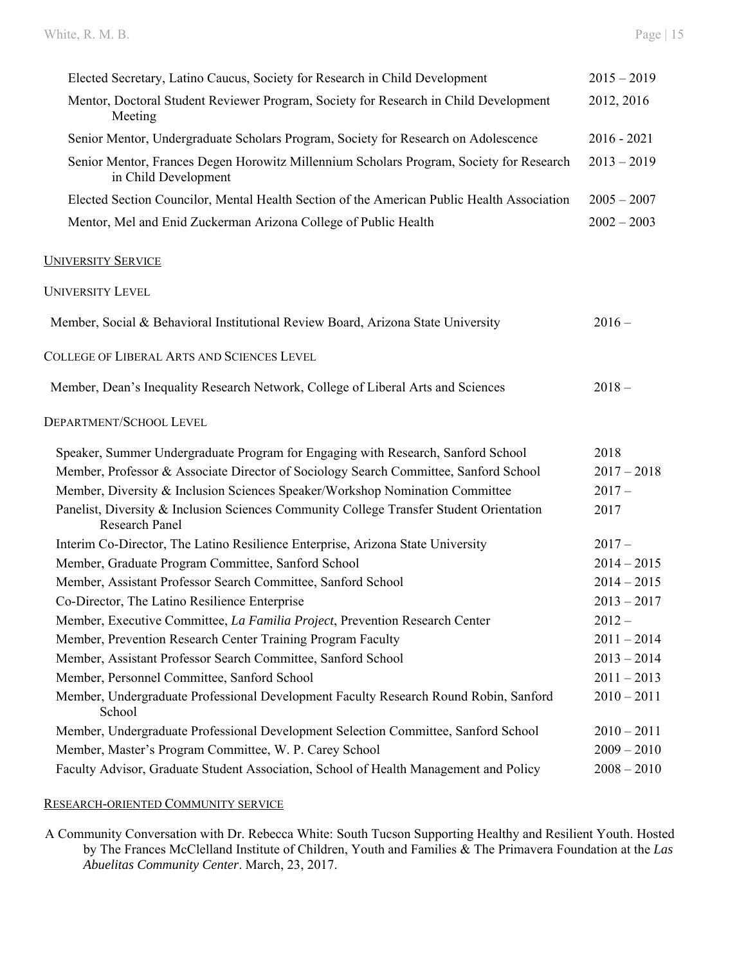| Elected Secretary, Latino Caucus, Society for Research in Child Development                                     | $2015 - 2019$ |
|-----------------------------------------------------------------------------------------------------------------|---------------|
| Mentor, Doctoral Student Reviewer Program, Society for Research in Child Development<br>Meeting                 | 2012, 2016    |
| Senior Mentor, Undergraduate Scholars Program, Society for Research on Adolescence                              | $2016 - 2021$ |
| Senior Mentor, Frances Degen Horowitz Millennium Scholars Program, Society for Research<br>in Child Development | $2013 - 2019$ |
| Elected Section Councilor, Mental Health Section of the American Public Health Association                      | $2005 - 2007$ |
| Mentor, Mel and Enid Zuckerman Arizona College of Public Health                                                 | $2002 - 2003$ |
| <b>UNIVERSITY SERVICE</b>                                                                                       |               |
| <b>UNIVERSITY LEVEL</b>                                                                                         |               |
| Member, Social & Behavioral Institutional Review Board, Arizona State University                                | $2016 -$      |
| COLLEGE OF LIBERAL ARTS AND SCIENCES LEVEL                                                                      |               |
| Member, Dean's Inequality Research Network, College of Liberal Arts and Sciences                                | $2018 -$      |
| DEPARTMENT/SCHOOL LEVEL                                                                                         |               |
| Speaker, Summer Undergraduate Program for Engaging with Research, Sanford School                                | 2018          |
| Member, Professor & Associate Director of Sociology Search Committee, Sanford School                            | $2017 - 2018$ |
| Member, Diversity & Inclusion Sciences Speaker/Workshop Nomination Committee                                    | $2017-$       |
| Panelist, Diversity & Inclusion Sciences Community College Transfer Student Orientation<br>Research Panel       | 2017          |
| Interim Co-Director, The Latino Resilience Enterprise, Arizona State University                                 | $2017-$       |
| Member, Graduate Program Committee, Sanford School                                                              | $2014 - 2015$ |
| Member, Assistant Professor Search Committee, Sanford School                                                    | $2014 - 2015$ |
| Co-Director, The Latino Resilience Enterprise                                                                   | $2013 - 2017$ |
| Member, Executive Committee, La Familia Project, Prevention Research Center                                     | $2012 -$      |
| Member, Prevention Research Center Training Program Faculty                                                     | $2011 - 2014$ |
| Member, Assistant Professor Search Committee, Sanford School                                                    | $2013 - 2014$ |
| Member, Personnel Committee, Sanford School                                                                     | $2011 - 2013$ |
| Member, Undergraduate Professional Development Faculty Research Round Robin, Sanford<br>School                  | $2010 - 2011$ |
| Member, Undergraduate Professional Development Selection Committee, Sanford School                              | $2010 - 2011$ |
| Member, Master's Program Committee, W. P. Carey School                                                          | $2009 - 2010$ |
| Faculty Advisor, Graduate Student Association, School of Health Management and Policy                           | $2008 - 2010$ |

#### RESEARCH-ORIENTED COMMUNITY SERVICE

A Community Conversation with Dr. Rebecca White: South Tucson Supporting Healthy and Resilient Youth. Hosted by The Frances McClelland Institute of Children, Youth and Families & The Primavera Foundation at the *Las Abuelitas Community Center*. March, 23, 2017.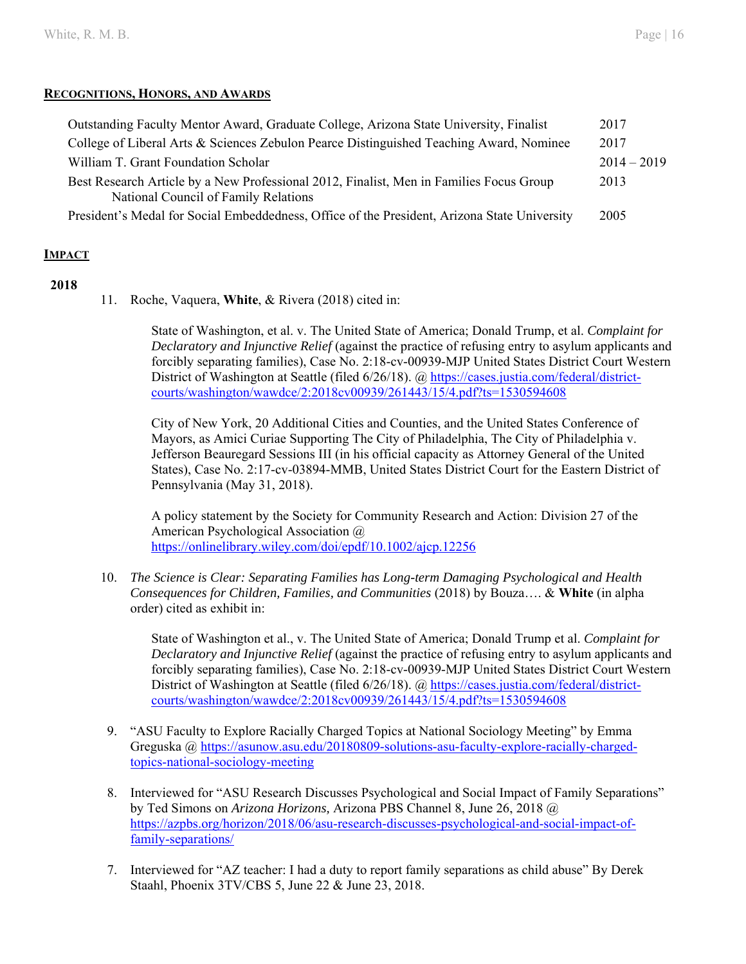#### **RECOGNITIONS, HONORS, AND AWARDS**

| Outstanding Faculty Mentor Award, Graduate College, Arizona State University, Finalist                                          | 2017          |
|---------------------------------------------------------------------------------------------------------------------------------|---------------|
| College of Liberal Arts & Sciences Zebulon Pearce Distinguished Teaching Award, Nominee                                         | 2017          |
| William T. Grant Foundation Scholar                                                                                             | $2014 - 2019$ |
| Best Research Article by a New Professional 2012, Finalist, Men in Families Focus Group<br>National Council of Family Relations | 2013          |
| President's Medal for Social Embeddedness, Office of the President, Arizona State University                                    | 2005          |

## **IMPACT**

#### **2018**

11. Roche, Vaquera, **White**, & Rivera (2018) cited in:

State of Washington, et al. v. The United State of America; Donald Trump, et al. *Complaint for Declaratory and Injunctive Relief* (against the practice of refusing entry to asylum applicants and forcibly separating families), Case No. 2:18-cv-00939-MJP United States District Court Western District of Washington at Seattle (filed 6/26/18). @ https://cases.justia.com/federal/districtcourts/washington/wawdce/2:2018cv00939/261443/15/4.pdf?ts=1530594608

City of New York, 20 Additional Cities and Counties, and the United States Conference of Mayors, as Amici Curiae Supporting The City of Philadelphia, The City of Philadelphia v. Jefferson Beauregard Sessions III (in his official capacity as Attorney General of the United States), Case No. 2:17-cv-03894-MMB, United States District Court for the Eastern District of Pennsylvania (May 31, 2018).

A policy statement by the Society for Community Research and Action: Division 27 of the American Psychological Association @ https://onlinelibrary.wiley.com/doi/epdf/10.1002/ajcp.12256

10. *The Science is Clear: Separating Families has Long-term Damaging Psychological and Health Consequences for Children, Families, and Communities* (2018) by Bouza…. & **White** (in alpha order) cited as exhibit in:

State of Washington et al., v. The United State of America; Donald Trump et al. *Complaint for Declaratory and Injunctive Relief* (against the practice of refusing entry to asylum applicants and forcibly separating families), Case No. 2:18-cv-00939-MJP United States District Court Western District of Washington at Seattle (filed 6/26/18). @ https://cases.justia.com/federal/districtcourts/washington/wawdce/2:2018cv00939/261443/15/4.pdf?ts=1530594608

- 9. "ASU Faculty to Explore Racially Charged Topics at National Sociology Meeting" by Emma Greguska @ https://asunow.asu.edu/20180809-solutions-asu-faculty-explore-racially-chargedtopics-national-sociology-meeting
- 8. Interviewed for "ASU Research Discusses Psychological and Social Impact of Family Separations" by Ted Simons on *Arizona Horizons,* Arizona PBS Channel 8, June 26, 2018 @ https://azpbs.org/horizon/2018/06/asu-research-discusses-psychological-and-social-impact-offamily-separations/
- 7. Interviewed for "AZ teacher: I had a duty to report family separations as child abuse" By Derek Staahl, Phoenix 3TV/CBS 5, June 22 & June 23, 2018.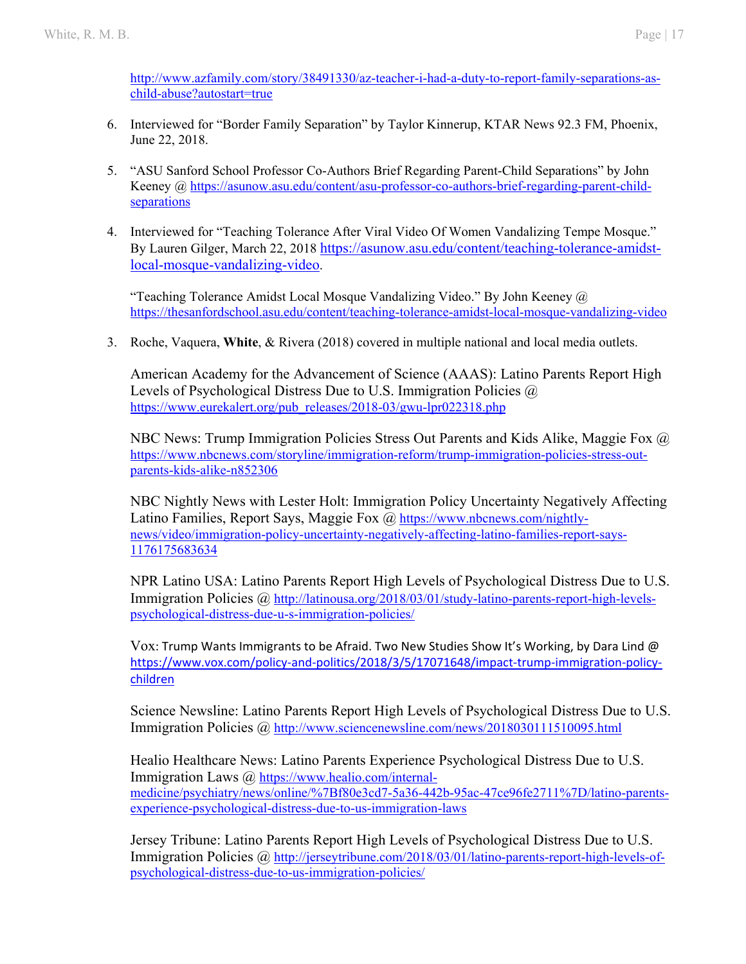http://www.azfamily.com/story/38491330/az-teacher-i-had-a-duty-to-report-family-separations-aschild-abuse?autostart=true

- 6. Interviewed for "Border Family Separation" by Taylor Kinnerup, KTAR News 92.3 FM, Phoenix, June 22, 2018.
- 5. "ASU Sanford School Professor Co-Authors Brief Regarding Parent-Child Separations" by John Keeney @ https://asunow.asu.edu/content/asu-professor-co-authors-brief-regarding-parent-childseparations
- 4. Interviewed for "Teaching Tolerance After Viral Video Of Women Vandalizing Tempe Mosque." By Lauren Gilger, March 22, 2018 https://asunow.asu.edu/content/teaching-tolerance-amidstlocal-mosque-vandalizing-video.

"Teaching Tolerance Amidst Local Mosque Vandalizing Video." By John Keeney  $\omega$ https://thesanfordschool.asu.edu/content/teaching-tolerance-amidst-local-mosque-vandalizing-video

3. Roche, Vaquera, **White**, & Rivera (2018) covered in multiple national and local media outlets.

American Academy for the Advancement of Science (AAAS): Latino Parents Report High Levels of Psychological Distress Due to U.S. Immigration Policies @ https://www.eurekalert.org/pub\_releases/2018-03/gwu-lpr022318.php

NBC News: Trump Immigration Policies Stress Out Parents and Kids Alike, Maggie Fox @ https://www.nbcnews.com/storyline/immigration-reform/trump-immigration-policies-stress-outparents-kids-alike-n852306

NBC Nightly News with Lester Holt: Immigration Policy Uncertainty Negatively Affecting Latino Families, Report Says, Maggie Fox  $\omega$  https://www.nbcnews.com/nightlynews/video/immigration-policy-uncertainty-negatively-affecting-latino-families-report-says-1176175683634

NPR Latino USA: Latino Parents Report High Levels of Psychological Distress Due to U.S. Immigration Policies @ http://latinousa.org/2018/03/01/study-latino-parents-report-high-levelspsychological-distress-due-u-s-immigration-policies/

Vox: Trump Wants Immigrants to be Afraid. Two New Studies Show It's Working, by Dara Lind @ https://www.vox.com/policy-and-politics/2018/3/5/17071648/impact-trump-immigration-policychildren

Science Newsline: Latino Parents Report High Levels of Psychological Distress Due to U.S. Immigration Policies @ http://www.sciencenewsline.com/news/2018030111510095.html

Healio Healthcare News: Latino Parents Experience Psychological Distress Due to U.S. Immigration Laws @ https://www.healio.com/internalmedicine/psychiatry/news/online/%7Bf80e3cd7-5a36-442b-95ac-47ce96fe2711%7D/latino-parentsexperience-psychological-distress-due-to-us-immigration-laws

Jersey Tribune: Latino Parents Report High Levels of Psychological Distress Due to U.S. Immigration Policies @ http://jerseytribune.com/2018/03/01/latino-parents-report-high-levels-ofpsychological-distress-due-to-us-immigration-policies/